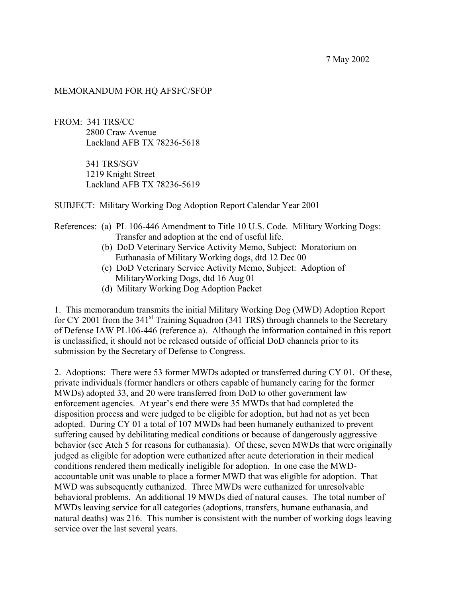7 May 2002

## MEMORANDUM FOR HQ AFSFC/SFOP

FROM: 341 TRS/CC 2800 Craw Avenue Lackland AFB TX 78236-5618

> 341 TRS/SGV 1219 Knight Street Lackland AFB TX 78236-5619

SUBJECT: Military Working Dog Adoption Report Calendar Year 2001

## References: (a) PL 106-446 Amendment to Title 10 U.S. Code. Military Working Dogs: Transfer and adoption at the end of useful life.

- (b) DoD Veterinary Service Activity Memo, Subject: Moratorium on Euthanasia of Military Working dogs, dtd 12 Dec 00
- (c) DoD Veterinary Service Activity Memo, Subject: Adoption of MilitaryWorking Dogs, dtd 16 Aug 01
- (d) Military Working Dog Adoption Packet

1. This memorandum transmits the initial Military Working Dog (MWD) Adoption Report for CY 2001 from the  $341<sup>st</sup>$  Training Squadron (341 TRS) through channels to the Secretary of Defense IAW PL106-446 (reference a). Although the information contained in this report is unclassified, it should not be released outside of official DoD channels prior to its submission by the Secretary of Defense to Congress.

2. Adoptions: There were 53 former MWDs adopted or transferred during CY 01. Of these, private individuals (former handlers or others capable of humanely caring for the former MWDs) adopted 33, and 20 were transferred from DoD to other government law enforcement agencies. At year's end there were 35 MWDs that had completed the disposition process and were judged to be eligible for adoption, but had not as yet been adopted. During CY 01 a total of 107 MWDs had been humanely euthanized to prevent suffering caused by debilitating medical conditions or because of dangerously aggressive behavior (see Atch 5 for reasons for euthanasia). Of these, seven MWDs that were originally judged as eligible for adoption were euthanized after acute deterioration in their medical conditions rendered them medically ineligible for adoption. In one case the MWDaccountable unit was unable to place a former MWD that was eligible for adoption. That MWD was subsequently euthanized. Three MWDs were euthanized for unresolvable behavioral problems. An additional 19 MWDs died of natural causes. The total number of MWDs leaving service for all categories (adoptions, transfers, humane euthanasia, and natural deaths) was 216. This number is consistent with the number of working dogs leaving service over the last several years.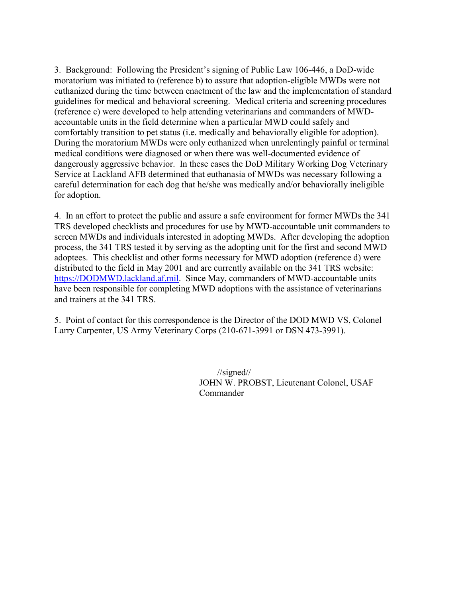3. Background: Following the President's signing of Public Law 106-446, a DoD-wide moratorium was initiated to (reference b) to assure that adoption-eligible MWDs were not euthanized during the time between enactment of the law and the implementation of standard guidelines for medical and behavioral screening. Medical criteria and screening procedures (reference c) were developed to help attending veterinarians and commanders of MWDaccountable units in the field determine when a particular MWD could safely and comfortably transition to pet status (i.e. medically and behaviorally eligible for adoption). During the moratorium MWDs were only euthanized when unrelentingly painful or terminal medical conditions were diagnosed or when there was well-documented evidence of dangerously aggressive behavior. In these cases the DoD Military Working Dog Veterinary Service at Lackland AFB determined that euthanasia of MWDs was necessary following a careful determination for each dog that he/she was medically and/or behaviorally ineligible for adoption.

4. In an effort to protect the public and assure a safe environment for former MWDs the 341 TRS developed checklists and procedures for use by MWD-accountable unit commanders to screen MWDs and individuals interested in adopting MWDs. After developing the adoption process, the 341 TRS tested it by serving as the adopting unit for the first and second MWD adoptees. This checklist and other forms necessary for MWD adoption (reference d) were distributed to the field in May 2001 and are currently available on the 341 TRS website: [https://DODMWD.lackland.af.mil.](https://dodmwd.lackland.af.mil/) Since May, commanders of MWD-accountable units have been responsible for completing MWD adoptions with the assistance of veterinarians and trainers at the 341 TRS.

5. Point of contact for this correspondence is the Director of the DOD MWD VS, Colonel Larry Carpenter, US Army Veterinary Corps (210-671-3991 or DSN 473-3991).

> //signed// JOHN W. PROBST, Lieutenant Colonel, USAF Commander